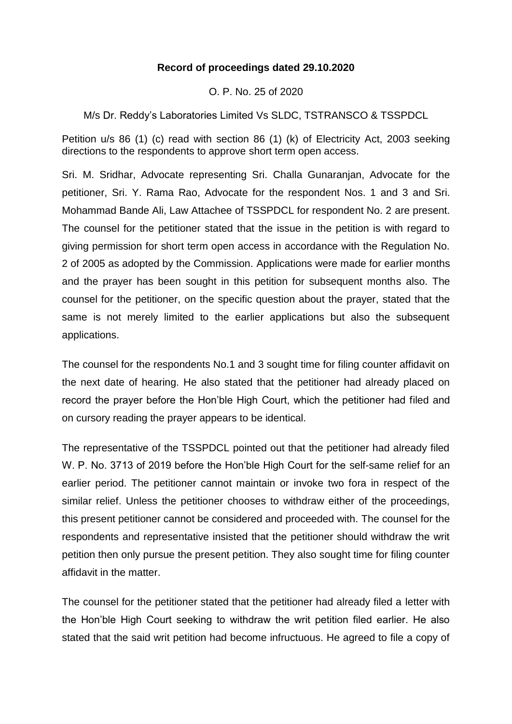## **Record of proceedings dated 29.10.2020**

O. P. No. 25 of 2020

M/s Dr. Reddy's Laboratories Limited Vs SLDC, TSTRANSCO & TSSPDCL

Petition u/s 86 (1) (c) read with section 86 (1) (k) of Electricity Act, 2003 seeking directions to the respondents to approve short term open access.

Sri. M. Sridhar, Advocate representing Sri. Challa Gunaranjan, Advocate for the petitioner, Sri. Y. Rama Rao, Advocate for the respondent Nos. 1 and 3 and Sri. Mohammad Bande Ali, Law Attachee of TSSPDCL for respondent No. 2 are present. The counsel for the petitioner stated that the issue in the petition is with regard to giving permission for short term open access in accordance with the Regulation No. 2 of 2005 as adopted by the Commission. Applications were made for earlier months and the prayer has been sought in this petition for subsequent months also. The counsel for the petitioner, on the specific question about the prayer, stated that the same is not merely limited to the earlier applications but also the subsequent applications.

The counsel for the respondents No.1 and 3 sought time for filing counter affidavit on the next date of hearing. He also stated that the petitioner had already placed on record the prayer before the Hon'ble High Court, which the petitioner had filed and on cursory reading the prayer appears to be identical.

The representative of the TSSPDCL pointed out that the petitioner had already filed W. P. No. 3713 of 2019 before the Hon'ble High Court for the self-same relief for an earlier period. The petitioner cannot maintain or invoke two fora in respect of the similar relief. Unless the petitioner chooses to withdraw either of the proceedings, this present petitioner cannot be considered and proceeded with. The counsel for the respondents and representative insisted that the petitioner should withdraw the writ petition then only pursue the present petition. They also sought time for filing counter affidavit in the matter.

The counsel for the petitioner stated that the petitioner had already filed a letter with the Hon'ble High Court seeking to withdraw the writ petition filed earlier. He also stated that the said writ petition had become infructuous. He agreed to file a copy of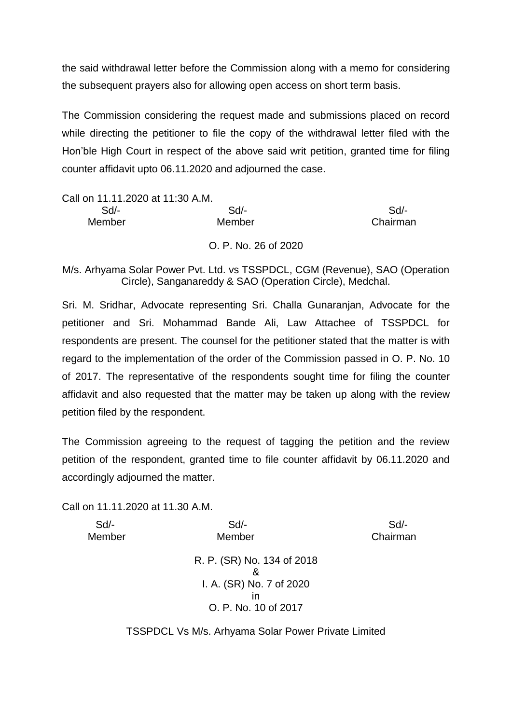the said withdrawal letter before the Commission along with a memo for considering the subsequent prayers also for allowing open access on short term basis.

The Commission considering the request made and submissions placed on record while directing the petitioner to file the copy of the withdrawal letter filed with the Hon'ble High Court in respect of the above said writ petition, granted time for filing counter affidavit upto 06.11.2020 and adjourned the case.

| Call on 11.11.2020 at 11:30 A.M. |        |          |
|----------------------------------|--------|----------|
| $Sd$ -                           | Sd     | Sd       |
| Member                           | Member | Chairman |
|                                  |        |          |

O. P. No. 26 of 2020

M/s. Arhyama Solar Power Pvt. Ltd. vs TSSPDCL, CGM (Revenue), SAO (Operation Circle), Sanganareddy & SAO (Operation Circle), Medchal.

Sri. M. Sridhar, Advocate representing Sri. Challa Gunaranjan, Advocate for the petitioner and Sri. Mohammad Bande Ali, Law Attachee of TSSPDCL for respondents are present. The counsel for the petitioner stated that the matter is with regard to the implementation of the order of the Commission passed in O. P. No. 10 of 2017. The representative of the respondents sought time for filing the counter affidavit and also requested that the matter may be taken up along with the review petition filed by the respondent.

The Commission agreeing to the request of tagging the petition and the review petition of the respondent, granted time to file counter affidavit by 06.11.2020 and accordingly adjourned the matter.

Call on 11.11.2020 at 11.30 A.M.

 Sd/- Sd/- Sd/- Member Member Chairman

> R. P. (SR) No. 134 of 2018 & I. A. (SR) No. 7 of 2020 in O. P. No. 10 of 2017

TSSPDCL Vs M/s. Arhyama Solar Power Private Limited